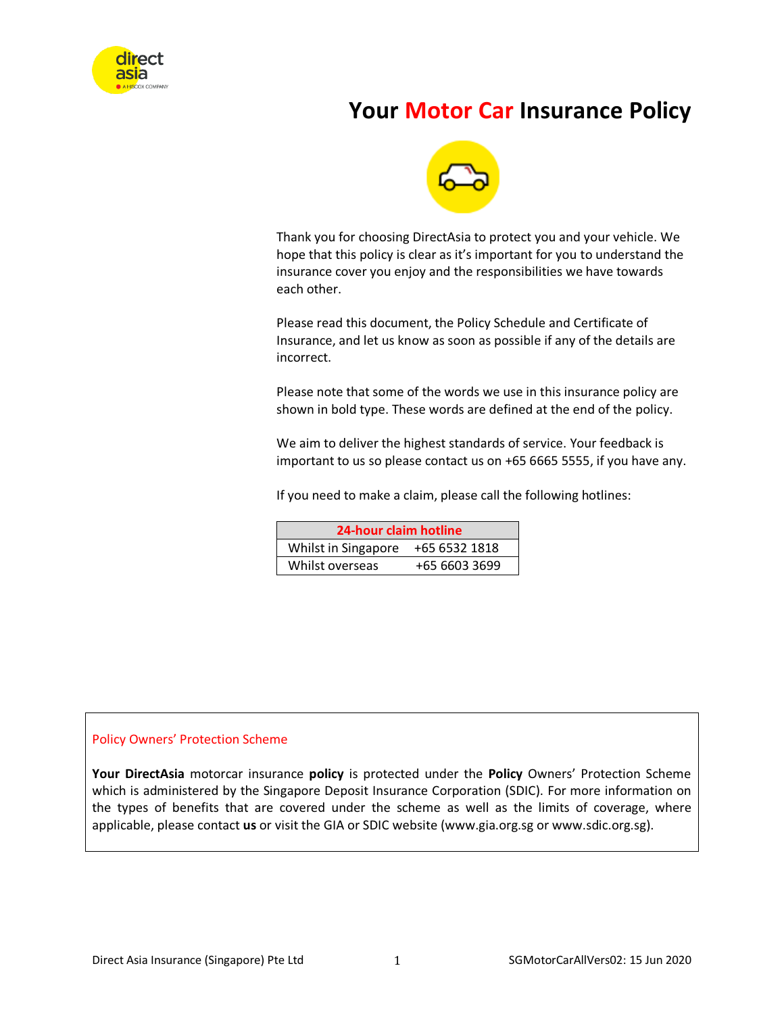

# **Your Motor Car Insurance Policy**



Thank you for choosing DirectAsia to protect you and your vehicle. We hope that this policy is clear as it's important for you to understand the insurance cover you enjoy and the responsibilities we have towards each other.

Please read this document, the Policy Schedule and Certificate of Insurance, and let us know as soon as possible if any of the details are incorrect.

Please note that some of the words we use in this insurance policy are shown in bold type. These words are defined at the end of the policy.

We aim to deliver the highest standards of service. Your feedback is important to us so please contact us on +65 6665 5555, if you have any.

If you need to make a claim, please call the following hotlines:

| 24-hour claim hotline |               |  |
|-----------------------|---------------|--|
| Whilst in Singapore   | +65 6532 1818 |  |
| Whilst overseas       | +65 6603 3699 |  |

# Policy Owners' Protection Scheme

**Your DirectAsia** motorcar insurance **policy** is protected under the **Policy** Owners' Protection Scheme which is administered by the Singapore Deposit Insurance Corporation (SDIC). For more information on the types of benefits that are covered under the scheme as well as the limits of coverage, where applicable, please contact **us** or visit the GIA or SDIC website (www.gia.org.sg or www.sdic.org.sg).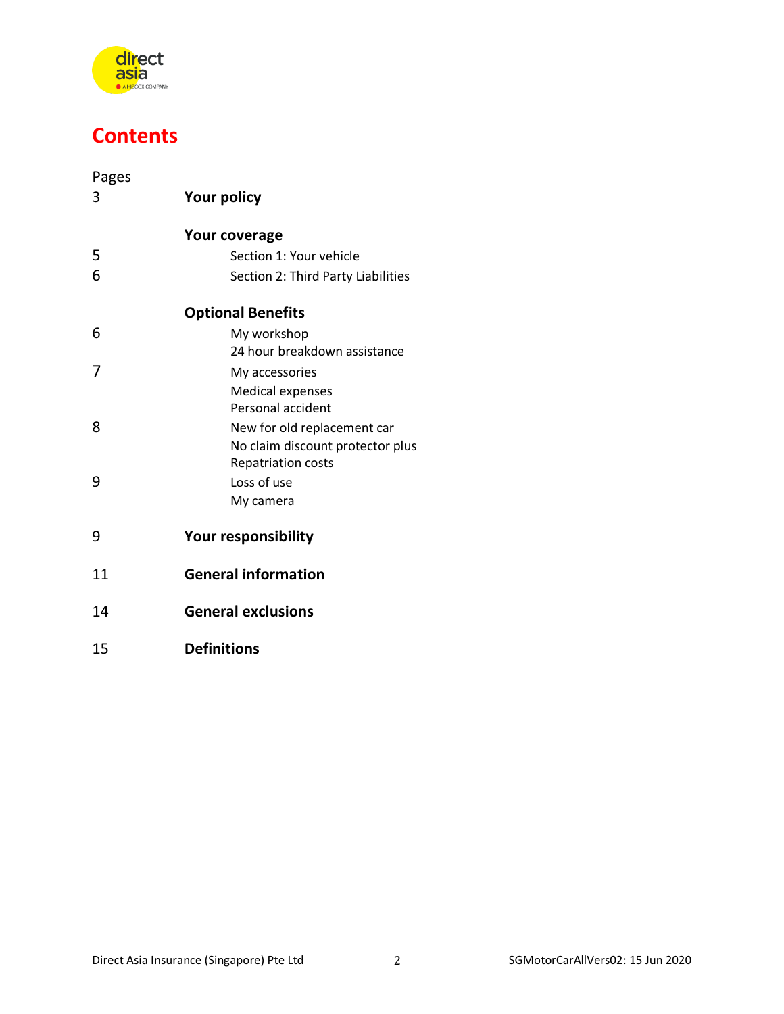

# **Contents**

| Pages<br>3 | <b>Your policy</b>                                            |  |
|------------|---------------------------------------------------------------|--|
|            |                                                               |  |
|            | <b>Your coverage</b>                                          |  |
| 5          | Section 1: Your vehicle                                       |  |
| 6          | Section 2: Third Party Liabilities                            |  |
|            | <b>Optional Benefits</b>                                      |  |
| 6          | My workshop                                                   |  |
|            | 24 hour breakdown assistance                                  |  |
| 7          | My accessories                                                |  |
|            | <b>Medical expenses</b>                                       |  |
|            | Personal accident                                             |  |
| 8          | New for old replacement car                                   |  |
|            | No claim discount protector plus<br><b>Repatriation costs</b> |  |
| 9          | Loss of use                                                   |  |
|            | My camera                                                     |  |
|            |                                                               |  |
| 9          | <b>Your responsibility</b>                                    |  |
| 11         | <b>General information</b>                                    |  |
| 14         | <b>General exclusions</b>                                     |  |
| 15         | <b>Definitions</b>                                            |  |
|            |                                                               |  |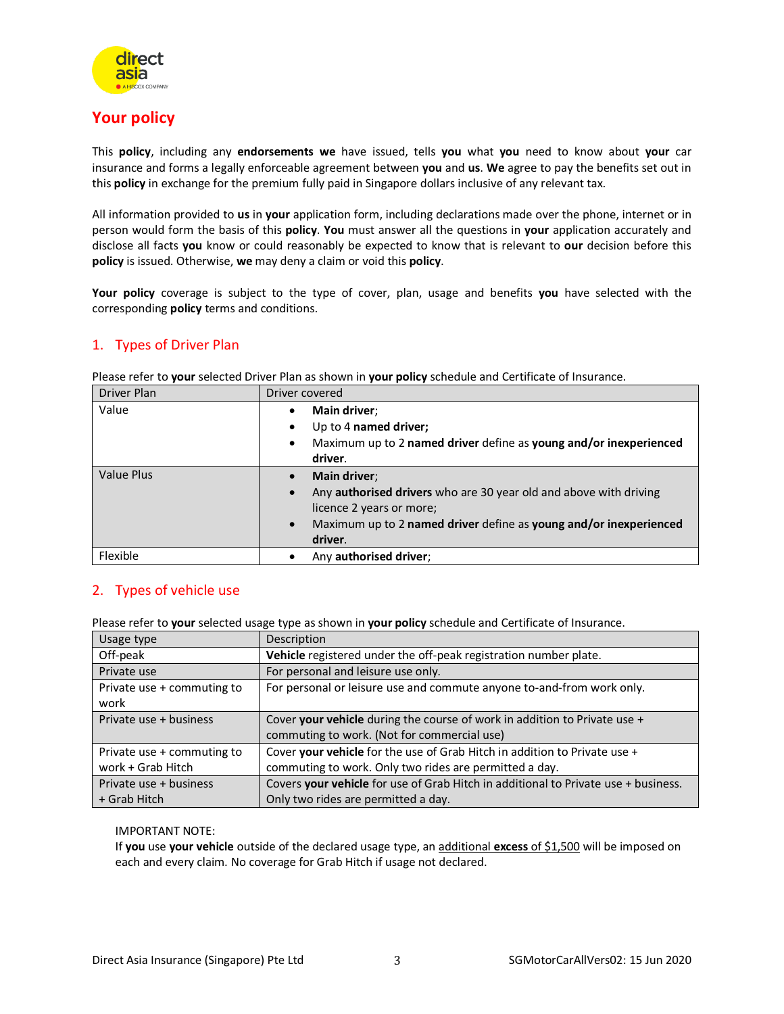

# **Your policy**

This **policy**, including any **endorsements we** have issued, tells **you** what **you** need to know about **your** car insurance and forms a legally enforceable agreement between **you** and **us**. **We** agree to pay the benefits set out in this **policy** in exchange for the premium fully paid in Singapore dollars inclusive of any relevant tax.

All information provided to **us** in **your** application form, including declarations made over the phone, internet or in person would form the basis of this **policy**. **You** must answer all the questions in **your** application accurately and disclose all facts **you** know or could reasonably be expected to know that is relevant to **our** decision before this **policy** is issued. Otherwise, **we** may deny a claim or void this **policy**.

**Your policy** coverage is subject to the type of cover, plan, usage and benefits **you** have selected with the corresponding **policy** terms and conditions.

# 1. Types of Driver Plan

Please refer to **your** selected Driver Plan as shown in **your policy** schedule and Certificate of Insurance.

| <b>Driver Plan</b> | Driver covered                                                                                                                                                                                                                                      |  |
|--------------------|-----------------------------------------------------------------------------------------------------------------------------------------------------------------------------------------------------------------------------------------------------|--|
| Value              | Main driver;<br>$\bullet$<br>Up to 4 named driver;<br>$\bullet$<br>Maximum up to 2 named driver define as young and/or inexperienced<br>$\bullet$<br>driver.                                                                                        |  |
| Value Plus         | <b>Main driver</b> ;<br>$\bullet$<br>Any <b>authorised drivers</b> who are 30 year old and above with driving<br>$\bullet$<br>licence 2 years or more;<br>Maximum up to 2 named driver define as young and/or inexperienced<br>$\bullet$<br>driver. |  |
| Flexible           | Any authorised driver;<br>٠                                                                                                                                                                                                                         |  |

# 2. Types of vehicle use

Please refer to **your** selected usage type as shown in **your policy** schedule and Certificate of Insurance.

| Usage type                 | Description                                                                        |
|----------------------------|------------------------------------------------------------------------------------|
| Off-peak                   | Vehicle registered under the off-peak registration number plate.                   |
| Private use                | For personal and leisure use only.                                                 |
| Private use + commuting to | For personal or leisure use and commute anyone to-and-from work only.              |
| work                       |                                                                                    |
| Private use + business     | Cover your vehicle during the course of work in addition to Private use +          |
|                            | commuting to work. (Not for commercial use)                                        |
| Private use + commuting to | Cover your vehicle for the use of Grab Hitch in addition to Private use +          |
| work + Grab Hitch          | commuting to work. Only two rides are permitted a day.                             |
| Private use + business     | Covers your vehicle for use of Grab Hitch in additional to Private use + business. |
| + Grab Hitch               | Only two rides are permitted a day.                                                |

# IMPORTANT NOTE:

If **you** use **your vehicle** outside of the declared usage type, an additional **excess** of \$1,500 will be imposed on each and every claim. No coverage for Grab Hitch if usage not declared.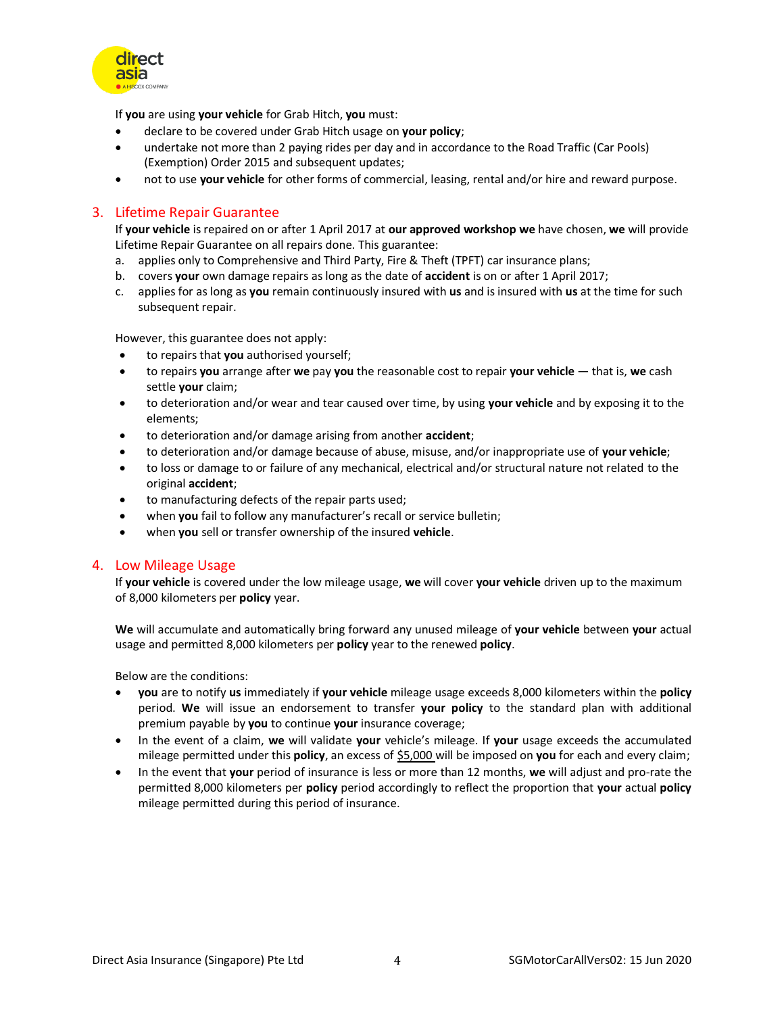

If **you** are using **your vehicle** for Grab Hitch, **you** must:

- declare to be covered under Grab Hitch usage on **your policy**;
- undertake not more than 2 paying rides per day and in accordance to the Road Traffic (Car Pools) (Exemption) Order 2015 and subsequent updates;
- not to use **your vehicle** for other forms of commercial, leasing, rental and/or hire and reward purpose.

# 3. Lifetime Repair Guarantee

If **your vehicle** is repaired on or after 1 April 2017 at **our approved workshop we** have chosen, **we** will provide Lifetime Repair Guarantee on all repairs done. This guarantee:

- a. applies only to Comprehensive and Third Party, Fire & Theft (TPFT) car insurance plans;
- b. covers **your** own damage repairs as long as the date of **accident** is on or after 1 April 2017;
- c. applies for as long as **you** remain continuously insured with **us** and is insured with **us** at the time for such subsequent repair.

However, this guarantee does not apply:

- to repairs that **you** authorised yourself;
- to repairs **you** arrange after **we** pay **you** the reasonable cost to repair **your vehicle** that is, **we** cash settle **your** claim;
- to deterioration and/or wear and tear caused over time, by using **your vehicle** and by exposing it to the elements;
- to deterioration and/or damage arising from another **accident**;
- to deterioration and/or damage because of abuse, misuse, and/or inappropriate use of **your vehicle**;
- to loss or damage to or failure of any mechanical, electrical and/or structural nature not related to the original **accident**;
- to manufacturing defects of the repair parts used;
- when **you** fail to follow any manufacturer's recall or service bulletin;
- when **you** sell or transfer ownership of the insured **vehicle**.

# 4. Low Mileage Usage

If **your vehicle** is covered under the low mileage usage, **we** will cover **your vehicle** driven up to the maximum of 8,000 kilometers per **policy** year.

**We** will accumulate and automatically bring forward any unused mileage of **your vehicle** between **your** actual usage and permitted 8,000 kilometers per **policy** year to the renewed **policy**.

Below are the conditions:

- **you** are to notify **us** immediately if **your vehicle** mileage usage exceeds 8,000 kilometers within the **policy** period. **We** will issue an endorsement to transfer **your policy** to the standard plan with additional premium payable by **you** to continue **your** insurance coverage;
- In the event of a claim, **we** will validate **your** vehicle's mileage. If **your** usage exceeds the accumulated mileage permitted under this **policy**, an excess of \$5,000 will be imposed on **you** for each and every claim;
- In the event that **your** period of insurance is less or more than 12 months, **we** will adjust and pro-rate the permitted 8,000 kilometers per **policy** period accordingly to reflect the proportion that **your** actual **policy** mileage permitted during this period of insurance.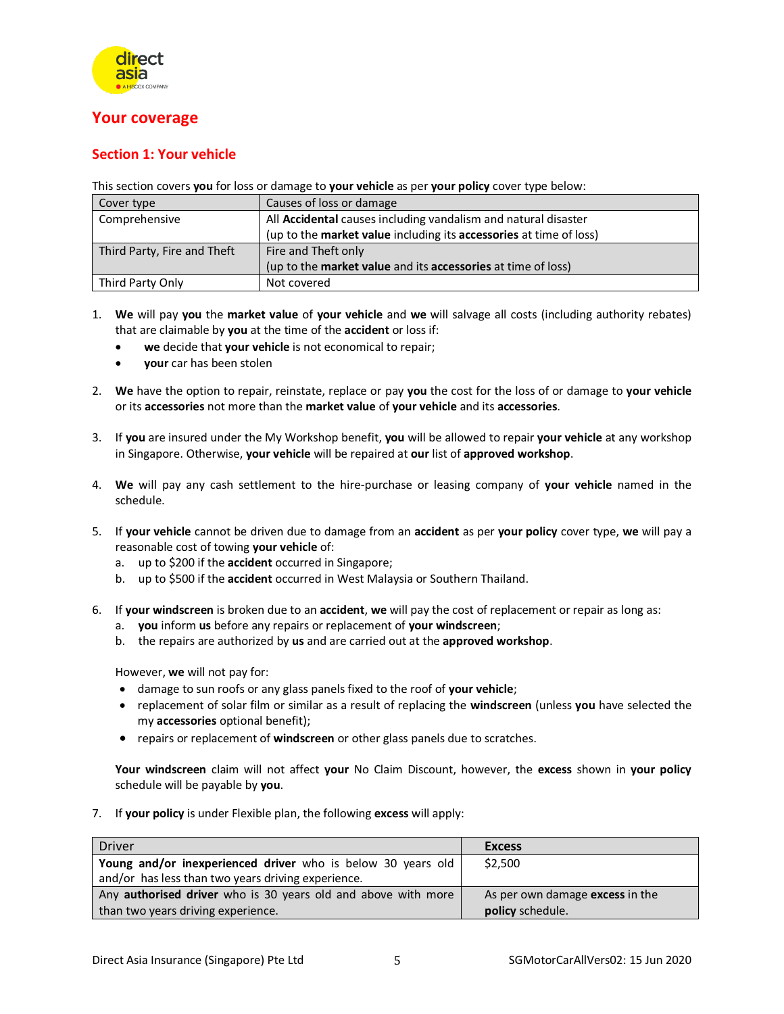

# **Your coverage**

# **Section 1: Your vehicle**

This section covers **you** for loss or damage to **your vehicle** as per **your policy** cover type below:

| Cover type                  | Causes of loss or damage                                                   |
|-----------------------------|----------------------------------------------------------------------------|
| Comprehensive               | All Accidental causes including vandalism and natural disaster             |
|                             | (up to the market value including its accessories at time of loss)         |
| Third Party, Fire and Theft | Fire and Theft only                                                        |
|                             | (up to the <b>market value</b> and its <b>accessories</b> at time of loss) |
| Third Party Only            | Not covered                                                                |

- 1. **We** will pay **you** the **market value** of **your vehicle** and **we** will salvage all costs (including authority rebates) that are claimable by **you** at the time of the **accident** or loss if:
	- **we** decide that **your vehicle** is not economical to repair;
	- **your** car has been stolen
- 2. **We** have the option to repair, reinstate, replace or pay **you** the cost for the loss of or damage to **your vehicle** or its **accessories** not more than the **market value** of **your vehicle** and its **accessories**.
- 3. If **you** are insured under the My Workshop benefit, **you** will be allowed to repair **your vehicle** at any workshop in Singapore. Otherwise, **your vehicle** will be repaired at **our** list of **approved workshop**.
- 4. **We** will pay any cash settlement to the hire-purchase or leasing company of **your vehicle** named in the schedule.
- 5. If **your vehicle** cannot be driven due to damage from an **accident** as per **your policy** cover type, **we** will pay a reasonable cost of towing **your vehicle** of:
	- a. up to \$200 if the **accident** occurred in Singapore;
	- b. up to \$500 if the **accident** occurred in West Malaysia or Southern Thailand.
- 6. If **your windscreen** is broken due to an **accident**, **we** will pay the cost of replacement or repair as long as:
	- a. **you** inform **us** before any repairs or replacement of **your windscreen**;
	- b. the repairs are authorized by **us** and are carried out at the **approved workshop**.

However, **we** will not pay for:

- damage to sun roofs or any glass panels fixed to the roof of **your vehicle**;
- replacement of solar film or similar as a result of replacing the **windscreen** (unless **you** have selected the my **accessories** optional benefit);
- repairs or replacement of **windscreen** or other glass panels due to scratches.

**Your windscreen** claim will not affect **your** No Claim Discount, however, the **excess** shown in **your policy** schedule will be payable by **you**.

7. If **your policy** is under Flexible plan, the following **excess** will apply:

| <b>Driver</b>                                                        | <b>Excess</b>                   |
|----------------------------------------------------------------------|---------------------------------|
| Young and/or inexperienced driver who is below 30 years old          | \$2,500                         |
| and/or has less than two years driving experience.                   |                                 |
| Any <b>authorised driver</b> who is 30 years old and above with more | As per own damage excess in the |
| than two years driving experience.                                   | policy schedule.                |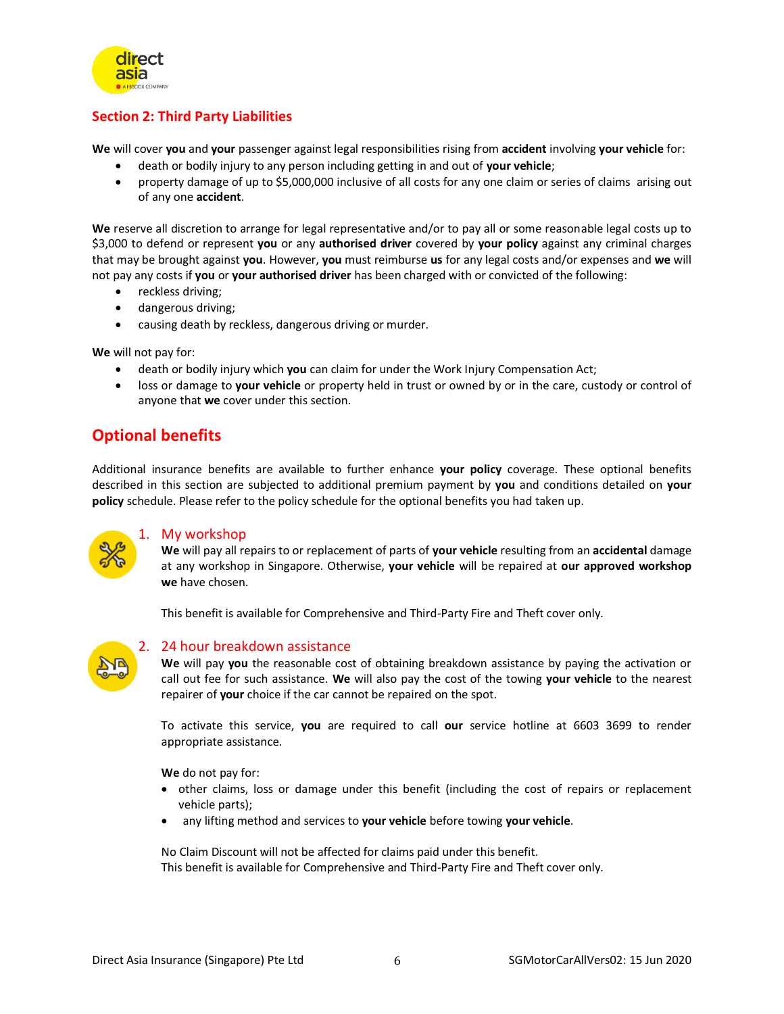

# **Section 2: Third Party Liabilities**

**We** will cover **you** and **your** passenger against legal responsibilities rising from **accident** involving **your vehicle** for:

- death or bodily injury to any person including getting in and out of **your vehicle**;
- property damage of up to \$5,000,000 inclusive of all costs for any one claim or series of claims arising out of any one **accident**.

**We** reserve all discretion to arrange for legal representative and/or to pay all or some reasonable legal costs up to \$3,000 to defend or represent **you** or any **authorised driver** covered by **your policy** against any criminal charges that may be brought against **you**. However, **you** must reimburse **us** for any legal costs and/or expenses and **we** will not pay any costs if **you** or **your authorised driver** has been charged with or convicted of the following:

- reckless driving;
- dangerous driving;
- causing death by reckless, dangerous driving or murder.

**We** will not pay for:

- death or bodily injury which **you** can claim for under the Work Injury Compensation Act;
- loss or damage to **your vehicle** or property held in trust or owned by or in the care, custody or control of anyone that **we** cover under this section.

# **Optional benefits**

Additional insurance benefits are available to further enhance **your policy** coverage. These optional benefits described in this section are subjected to additional premium payment by **you** and conditions detailed on **your policy** schedule. Please refer to the policy schedule for the optional benefits you had taken up.



# 1. My workshop

**We** will pay all repairs to or replacement of parts of **your vehicle** resulting from an **accidental** damage at any workshop in Singapore. Otherwise, **your vehicle** will be repaired at **our approved workshop we** have chosen.

This benefit is available for Comprehensive and Third-Party Fire and Theft cover only.



# 24 hour breakdown assistance

**We** will pay **you** the reasonable cost of obtaining breakdown assistance by paying the activation or call out fee for such assistance. **We** will also pay the cost of the towing **your vehicle** to the nearest repairer of **your** choice if the car cannot be repaired on the spot.

To activate this service, **you** are required to call **our** service hotline at 6603 3699 to render appropriate assistance.

**We** do not pay for:

- other claims, loss or damage under this benefit (including the cost of repairs or replacement vehicle parts);
- any lifting method and services to **your vehicle** before towing **your vehicle**.

No Claim Discount will not be affected for claims paid under this benefit. This benefit is available for Comprehensive and Third-Party Fire and Theft cover only.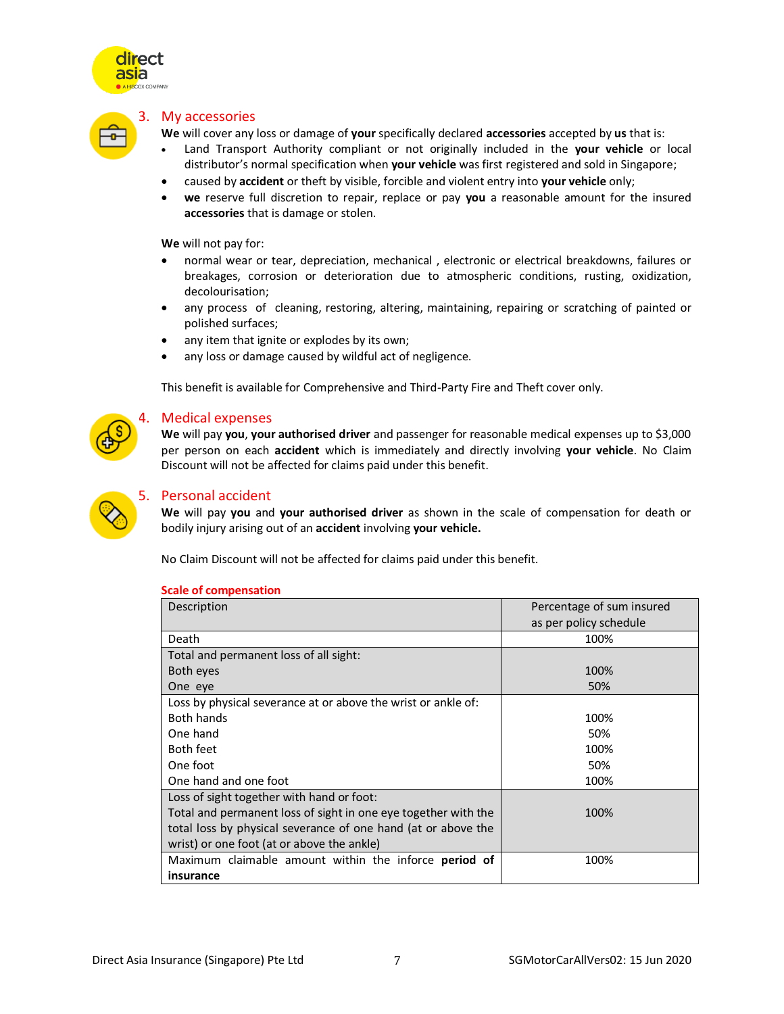



#### 3. My accessories

**We** will cover any loss or damage of **your** specifically declared **accessories** accepted by **us** that is:

- Land Transport Authority compliant or not originally included in the **your vehicle** or local distributor's normal specification when **your vehicle** was first registered and sold in Singapore;
- caused by **accident** or theft by visible, forcible and violent entry into **your vehicle** only;
- **we** reserve full discretion to repair, replace or pay **you** a reasonable amount for the insured **accessories** that is damage or stolen.

**We** will not pay for:

- normal wear or tear, depreciation, mechanical , electronic or electrical breakdowns, failures or breakages, corrosion or deterioration due to atmospheric conditions, rusting, oxidization, decolourisation;
- any process of cleaning, restoring, altering, maintaining, repairing or scratching of painted or polished surfaces;
- any item that ignite or explodes by its own;
- any loss or damage caused by wildful act of negligence.

This benefit is available for Comprehensive and Third-Party Fire and Theft cover only.

#### 4. Medical expenses

**We** will pay **you**, **your authorised driver** and passenger for reasonable medical expenses up to \$3,000 per person on each **accident** which is immediately and directly involving **your vehicle**. No Claim Discount will not be affected for claims paid under this benefit.



# 5. Personal accident

**We** will pay **you** and **your authorised driver** as shown in the scale of compensation for death or bodily injury arising out of an **accident** involving **your vehicle.** 

No Claim Discount will not be affected for claims paid under this benefit.

| Description                                                    | Percentage of sum insured |
|----------------------------------------------------------------|---------------------------|
|                                                                | as per policy schedule    |
| Death                                                          | 100%                      |
| Total and permanent loss of all sight:                         |                           |
| Both eyes                                                      | 100%                      |
| One eye                                                        | 50%                       |
| Loss by physical severance at or above the wrist or ankle of:  |                           |
| <b>Both hands</b>                                              | 100%                      |
| One hand                                                       | 50%                       |
| <b>Both feet</b>                                               | 100%                      |
| One foot                                                       | 50%                       |
| One hand and one foot                                          | 100%                      |
| Loss of sight together with hand or foot:                      |                           |
| Total and permanent loss of sight in one eye together with the | 100%                      |
| total loss by physical severance of one hand (at or above the  |                           |
| wrist) or one foot (at or above the ankle)                     |                           |
| Maximum claimable amount within the inforce period of          | 100%                      |
| insurance                                                      |                           |

#### **Scale of compensation**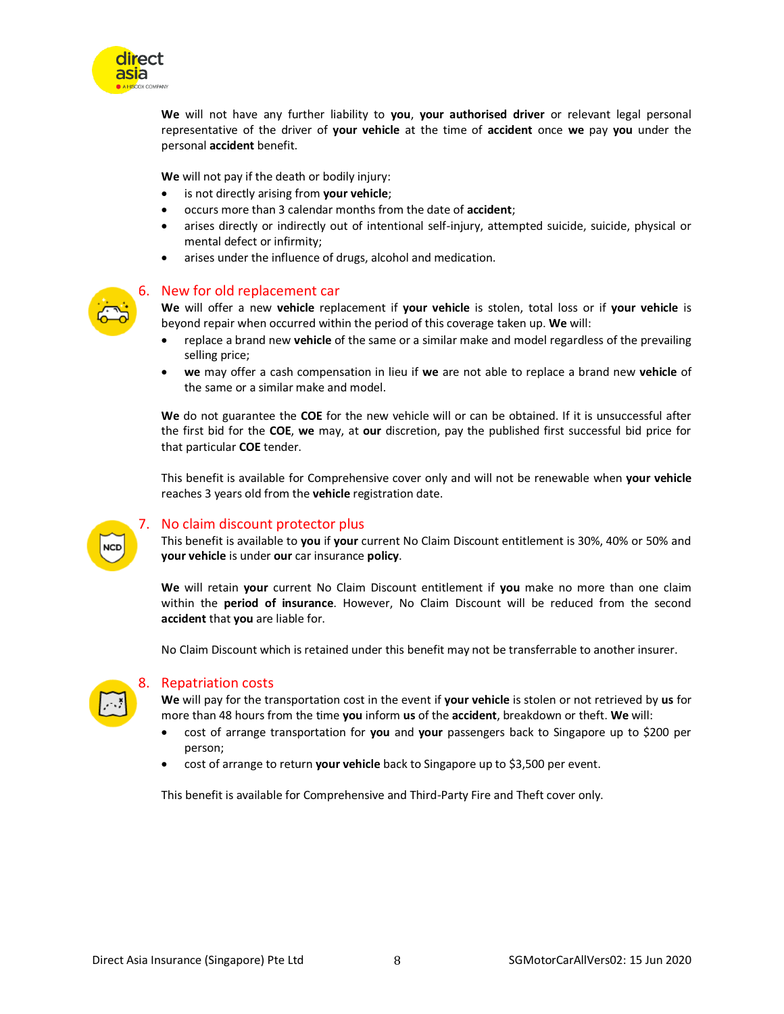

**We** will not have any further liability to **you**, **your authorised driver** or relevant legal personal representative of the driver of **your vehicle** at the time of **accident** once **we** pay **you** under the personal **accident** benefit.

**We** will not pay if the death or bodily injury:

- is not directly arising from **your vehicle**;
- occurs more than 3 calendar months from the date of **accident**;
- arises directly or indirectly out of intentional self-injury, attempted suicide, suicide, physical or mental defect or infirmity;
- arises under the influence of drugs, alcohol and medication.



# 6. New for old replacement car

**We** will offer a new **vehicle** replacement if **your vehicle** is stolen, total loss or if **your vehicle** is beyond repair when occurred within the period of this coverage taken up. **We** will:

- replace a brand new **vehicle** of the same or a similar make and model regardless of the prevailing selling price;
- **we** may offer a cash compensation in lieu if **we** are not able to replace a brand new **vehicle** of the same or a similar make and model.

**We** do not guarantee the **COE** for the new vehicle will or can be obtained. If it is unsuccessful after the first bid for the **COE**, **we** may, at **our** discretion, pay the published first successful bid price for that particular **COE** tender.

This benefit is available for Comprehensive cover only and will not be renewable when **your vehicle**  reaches 3 years old from the **vehicle** registration date.



# 7. No claim discount protector plus

This benefit is available to **you** if **your** current No Claim Discount entitlement is 30%, 40% or 50% and **your vehicle** is under **our** car insurance **policy**.

**We** will retain **your** current No Claim Discount entitlement if **you** make no more than one claim within the **period of insurance**. However, No Claim Discount will be reduced from the second **accident** that **you** are liable for.

No Claim Discount which is retained under this benefit may not be transferrable to another insurer.



#### 8. Repatriation costs

**We** will pay for the transportation cost in the event if **your vehicle** is stolen or not retrieved by **us** for more than 48 hours from the time **you** inform **us** of the **accident**, breakdown or theft. **We** will:

- cost of arrange transportation for **you** and **your** passengers back to Singapore up to \$200 per person;
- cost of arrange to return **your vehicle** back to Singapore up to \$3,500 per event.

This benefit is available for Comprehensive and Third-Party Fire and Theft cover only.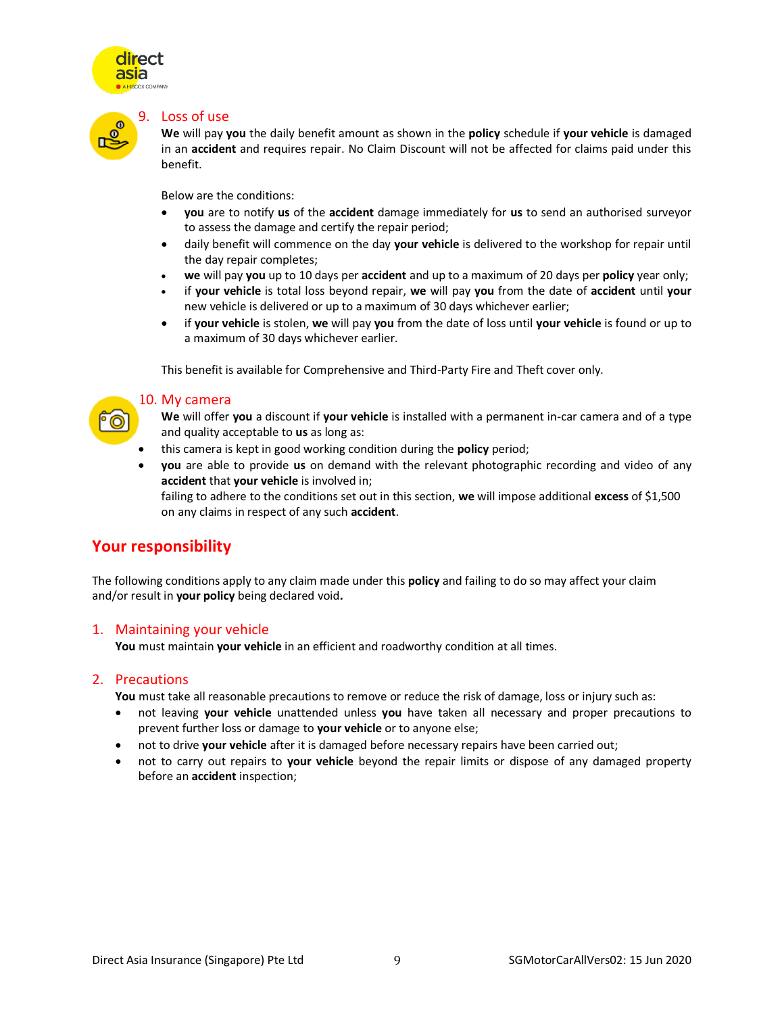



#### 9. Loss of use

**We** will pay **you** the daily benefit amount as shown in the **policy** schedule if **your vehicle** is damaged in an **accident** and requires repair. No Claim Discount will not be affected for claims paid under this benefit.

Below are the conditions:

- **you** are to notify **us** of the **accident** damage immediately for **us** to send an authorised surveyor to assess the damage and certify the repair period;
- daily benefit will commence on the day **your vehicle** is delivered to the workshop for repair until the day repair completes;
- **we** will pay **you** up to 10 days per **accident** and up to a maximum of 20 days per **policy** year only;
- if **your vehicle** is total loss beyond repair, **we** will pay **you** from the date of **accident** until **your** new vehicle is delivered or up to a maximum of 30 days whichever earlier;
- if **your vehicle** is stolen, **we** will pay **you** from the date of loss until **your vehicle** is found or up to a maximum of 30 days whichever earlier.

This benefit is available for Comprehensive and Third-Party Fire and Theft cover only.

# 10. My camera

**We** will offer **you** a discount if **your vehicle** is installed with a permanent in-car camera and of a type and quality acceptable to **us** as long as:

- this camera is kept in good working condition during the **policy** period;
- **you** are able to provide **us** on demand with the relevant photographic recording and video of any **accident** that **your vehicle** is involved in;

failing to adhere to the conditions set out in this section, **we** will impose additional **excess** of \$1,500 on any claims in respect of any such **accident**.

# **Your responsibility**

The following conditions apply to any claim made under this **policy** and failing to do so may affect your claim and/or result in **your policy** being declared void**.**

# 1. Maintaining your vehicle

**You** must maintain **your vehicle** in an efficient and roadworthy condition at all times.

# 2. Precautions

**You** must take all reasonable precautions to remove or reduce the risk of damage, loss or injury such as:

- not leaving **your vehicle** unattended unless **you** have taken all necessary and proper precautions to prevent further loss or damage to **your vehicle** or to anyone else;
- not to drive **your vehicle** after it is damaged before necessary repairs have been carried out;
- not to carry out repairs to **your vehicle** beyond the repair limits or dispose of any damaged property before an **accident** inspection;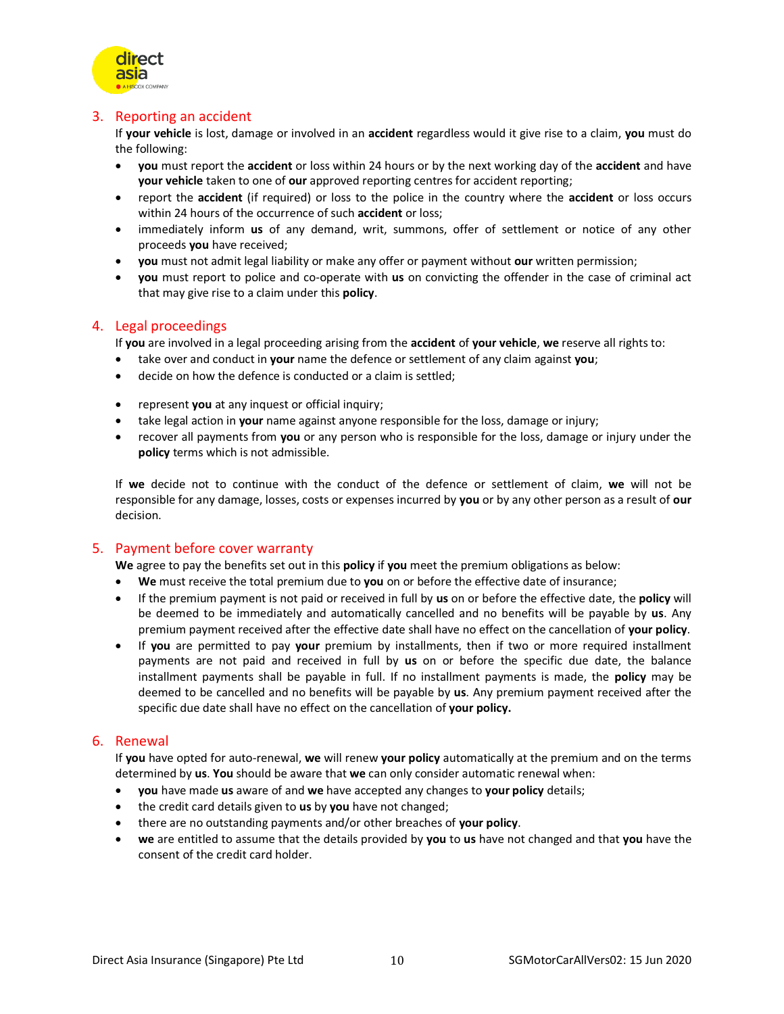

# 3. Reporting an accident

If **your vehicle** is lost, damage or involved in an **accident** regardless would it give rise to a claim, **you** must do the following:

- **you** must report the **accident** or loss within 24 hours or by the next working day of the **accident** and have **your vehicle** taken to one of **our** approved reporting centres for accident reporting;
- report the **accident** (if required) or loss to the police in the country where the **accident** or loss occurs within 24 hours of the occurrence of such **accident** or loss;
- immediately inform **us** of any demand, writ, summons, offer of settlement or notice of any other proceeds **you** have received;
- **you** must not admit legal liability or make any offer or payment without **our** written permission;
- **you** must report to police and co-operate with **us** on convicting the offender in the case of criminal act that may give rise to a claim under this **policy**.

# 4. Legal proceedings

If **you** are involved in a legal proceeding arising from the **accident** of **your vehicle**, **we** reserve all rights to:

- take over and conduct in **your** name the defence or settlement of any claim against **you**;
- decide on how the defence is conducted or a claim is settled;
- **•** represent **you** at any inquest or official inquiry;
- take legal action in **your** name against anyone responsible for the loss, damage or injury;
- recover all payments from **you** or any person who is responsible for the loss, damage or injury under the **policy** terms which is not admissible.

If **we** decide not to continue with the conduct of the defence or settlement of claim, **we** will not be responsible for any damage, losses, costs or expenses incurred by **you** or by any other person as a result of **our** decision.

# 5. Payment before cover warranty

**We** agree to pay the benefits set out in this **policy** if **you** meet the premium obligations as below:

- **We** must receive the total premium due to **you** on or before the effective date of insurance;
- If the premium payment is not paid or received in full by **us** on or before the effective date, the **policy** will be deemed to be immediately and automatically cancelled and no benefits will be payable by **us**. Any premium payment received after the effective date shall have no effect on the cancellation of **your policy**.
- If **you** are permitted to pay **your** premium by installments, then if two or more required installment payments are not paid and received in full by **us** on or before the specific due date, the balance installment payments shall be payable in full. If no installment payments is made, the **policy** may be deemed to be cancelled and no benefits will be payable by **us**. Any premium payment received after the specific due date shall have no effect on the cancellation of **your policy.**

# 6. Renewal

If **you** have opted for auto-renewal, **we** will renew **your policy** automatically at the premium and on the terms determined by **us**. **You** should be aware that **we** can only consider automatic renewal when:

- **you** have made **us** aware of and **we** have accepted any changes to **your policy** details;
- the credit card details given to **us** by **you** have not changed;
- there are no outstanding payments and/or other breaches of **your policy**.
- **we** are entitled to assume that the details provided by **you** to **us** have not changed and that **you** have the consent of the credit card holder.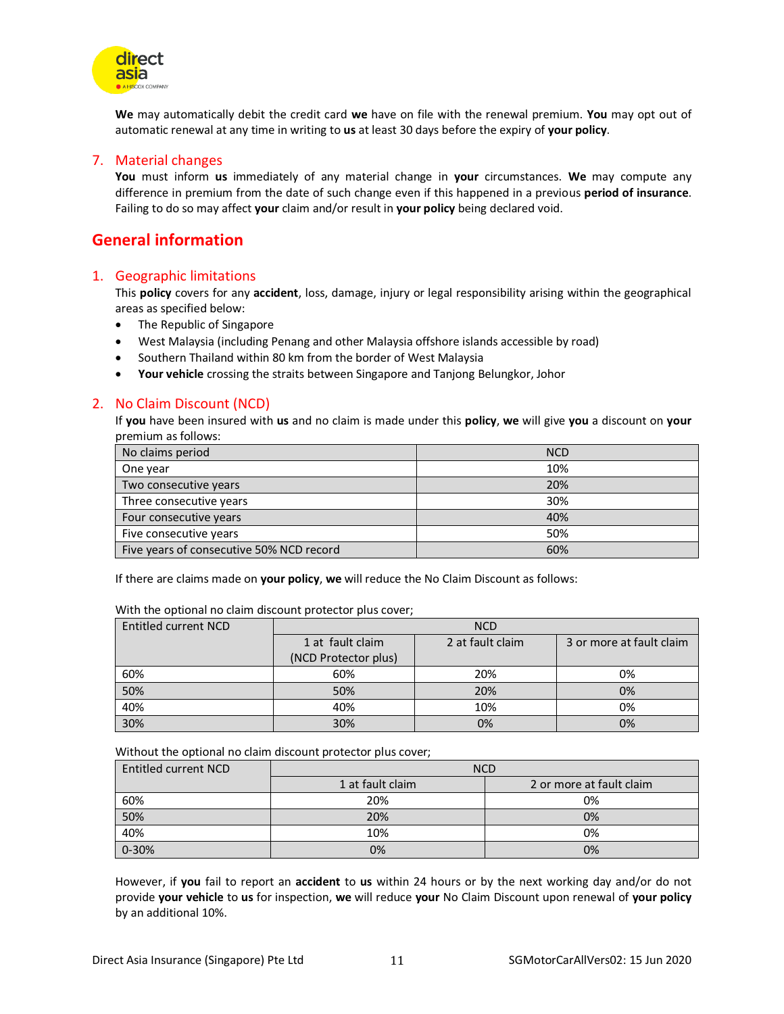

**We** may automatically debit the credit card **we** have on file with the renewal premium. **You** may opt out of automatic renewal at any time in writing to **us** at least 30 days before the expiry of **your policy**.

# 7. Material changes

**You** must inform **us** immediately of any material change in **your** circumstances. **We** may compute any difference in premium from the date of such change even if this happened in a previous **period of insurance**. Failing to do so may affect **your** claim and/or result in **your policy** being declared void.

# **General information**

# 1. Geographic limitations

This **policy** covers for any **accident**, loss, damage, injury or legal responsibility arising within the geographical areas as specified below:

- The Republic of Singapore
- West Malaysia (including Penang and other Malaysia offshore islands accessible by road)
- Southern Thailand within 80 km from the border of West Malaysia
- **Your vehicle** crossing the straits between Singapore and Tanjong Belungkor, Johor

# 2. No Claim Discount (NCD)

If **you** have been insured with **us** and no claim is made under this **policy**, **we** will give **you** a discount on **your** premium as follows:

| No claims period                         | <b>NCD</b> |
|------------------------------------------|------------|
| One year                                 | 10%        |
| Two consecutive years                    | 20%        |
| Three consecutive years                  | 30%        |
| Four consecutive years                   | 40%        |
| Five consecutive years                   | 50%        |
| Five years of consecutive 50% NCD record | 60%        |

If there are claims made on **your policy**, **we** will reduce the No Claim Discount as follows:

| <b>Entitled current NCD</b> | <b>NCD</b>           |                  |                          |
|-----------------------------|----------------------|------------------|--------------------------|
|                             | 1 at fault claim     | 2 at fault claim | 3 or more at fault claim |
|                             | (NCD Protector plus) |                  |                          |
| 60%                         | 60%                  | 20%              | 0%                       |
| 50%                         | 50%                  | 20%              | 0%                       |
| 40%                         | 40%                  | 10%              | 0%                       |
| 30%                         | 30%                  | 0%               | 0%                       |

With the optional no claim discount protector plus cover;

Without the optional no claim discount protector plus cover;

| Entitled current NCD | <b>NCD</b>       |                          |  |
|----------------------|------------------|--------------------------|--|
|                      | 1 at fault claim | 2 or more at fault claim |  |
| 60%                  | 20%              | 0%                       |  |
| 50%                  | 20%              | 0%                       |  |
| 40%                  | 10%              | 0%                       |  |
| 0-30%                | 0%               | 0%                       |  |

However, if **you** fail to report an **accident** to **us** within 24 hours or by the next working day and/or do not provide **your vehicle** to **us** for inspection, **we** will reduce **your** No Claim Discount upon renewal of **your policy** by an additional 10%.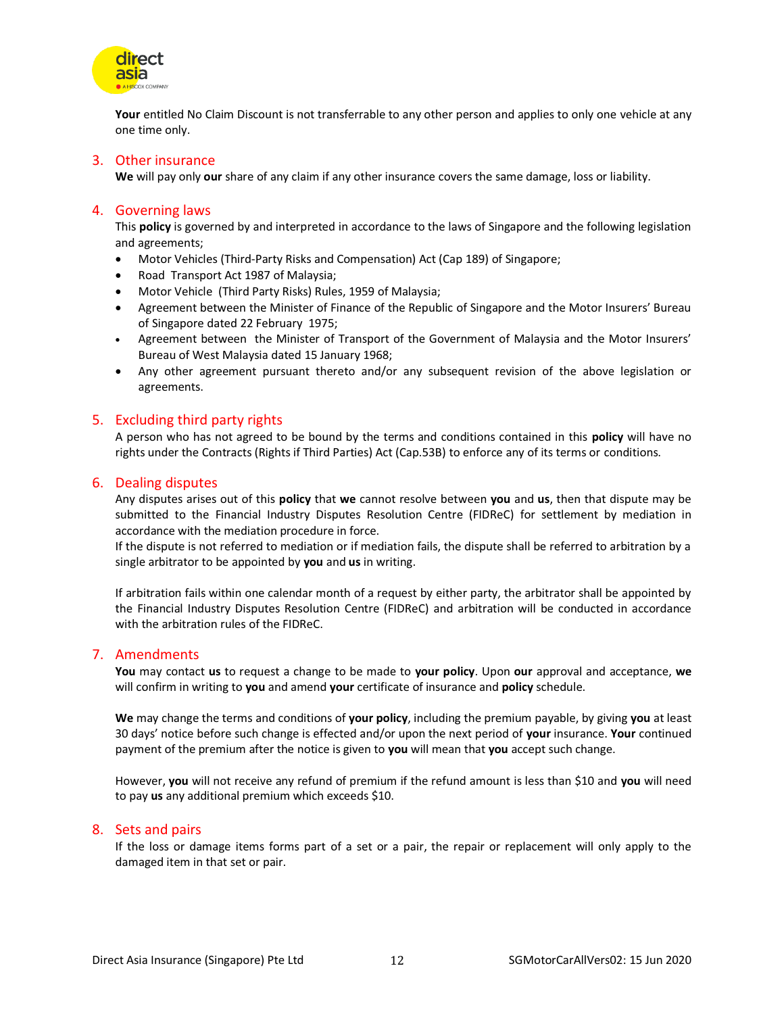

**Your** entitled No Claim Discount is not transferrable to any other person and applies to only one vehicle at any one time only.

# 3. Other insurance

**We** will pay only **our** share of any claim if any other insurance covers the same damage, loss or liability.

# 4. Governing laws

This **policy** is governed by and interpreted in accordance to the laws of Singapore and the following legislation and agreements;

- Motor Vehicles (Third-Party Risks and Compensation) Act (Cap 189) of Singapore;
- Road Transport Act 1987 of Malaysia;
- Motor Vehicle (Third Party Risks) Rules, 1959 of Malaysia;
- Agreement between the Minister of Finance of the Republic of Singapore and the Motor Insurers' Bureau of Singapore dated 22 February 1975;
- Agreement between the Minister of Transport of the Government of Malaysia and the Motor Insurers' Bureau of West Malaysia dated 15 January 1968;
- Any other agreement pursuant thereto and/or any subsequent revision of the above legislation or agreements.

# 5. Excluding third party rights

A person who has not agreed to be bound by the terms and conditions contained in this **policy** will have no rights under the Contracts (Rights if Third Parties) Act (Cap.53B) to enforce any of its terms or conditions.

# 6. Dealing disputes

Any disputes arises out of this **policy** that **we** cannot resolve between **you** and **us**, then that dispute may be submitted to the Financial Industry Disputes Resolution Centre (FIDReC) for settlement by mediation in accordance with the mediation procedure in force.

If the dispute is not referred to mediation or if mediation fails, the dispute shall be referred to arbitration by a single arbitrator to be appointed by **you** and **us** in writing.

If arbitration fails within one calendar month of a request by either party, the arbitrator shall be appointed by the Financial Industry Disputes Resolution Centre (FIDReC) and arbitration will be conducted in accordance with the arbitration rules of the FIDReC.

# 7. Amendments

**You** may contact **us** to request a change to be made to **your policy**. Upon **our** approval and acceptance, **we** will confirm in writing to **you** and amend **your** certificate of insurance and **policy** schedule.

**We** may change the terms and conditions of **your policy**, including the premium payable, by giving **you** at least 30 days' notice before such change is effected and/or upon the next period of **your** insurance. **Your** continued payment of the premium after the notice is given to **you** will mean that **you** accept such change.

However, **you** will not receive any refund of premium if the refund amount is less than \$10 and **you** will need to pay **us** any additional premium which exceeds \$10.

# 8. Sets and pairs

If the loss or damage items forms part of a set or a pair, the repair or replacement will only apply to the damaged item in that set or pair.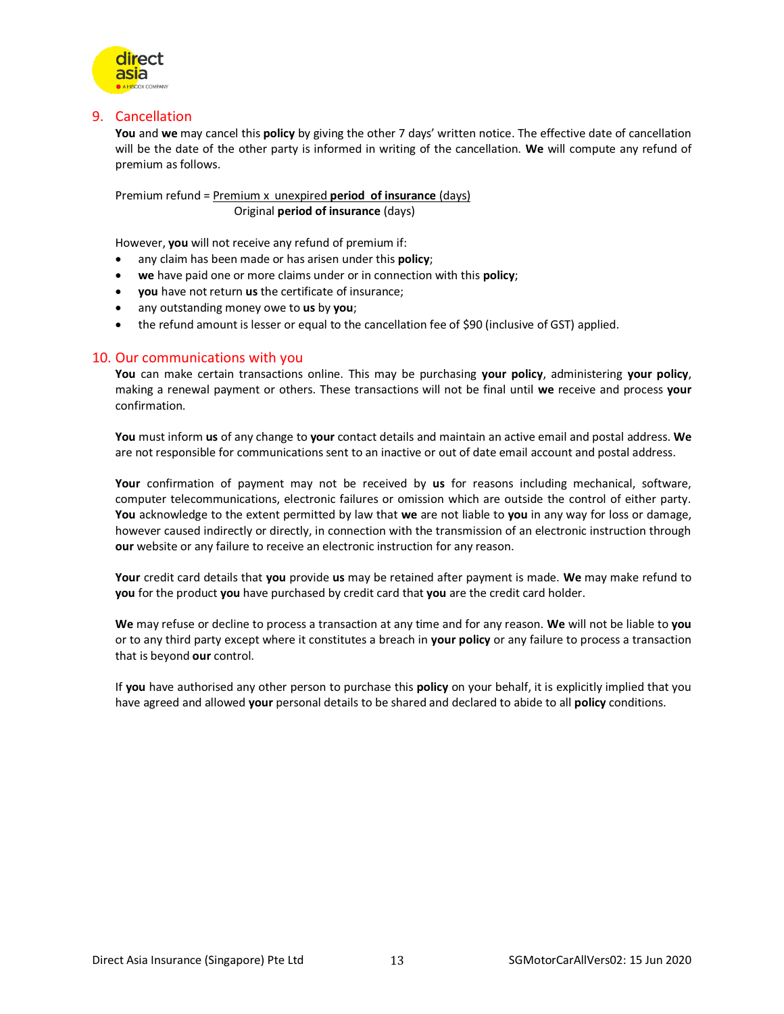

# 9. Cancellation

**You** and **we** may cancel this **policy** by giving the other 7 days' written notice. The effective date of cancellation will be the date of the other party is informed in writing of the cancellation. **We** will compute any refund of premium as follows.

Premium refund = Premium x unexpired **period of insurance** (days) Original **period of insurance** (days)

However, **you** will not receive any refund of premium if:

- any claim has been made or has arisen under this **policy**;
- **we** have paid one or more claims under or in connection with this **policy**;
- **you** have not return **us** the certificate of insurance;
- any outstanding money owe to **us** by **you**;
- the refund amount is lesser or equal to the cancellation fee of \$90 (inclusive of GST) applied.

# 10. Our communications with you

**You** can make certain transactions online. This may be purchasing **your policy**, administering **your policy**, making a renewal payment or others. These transactions will not be final until **we** receive and process **your** confirmation.

**You** must inform **us** of any change to **your** contact details and maintain an active email and postal address. **We** are not responsible for communications sent to an inactive or out of date email account and postal address.

**Your** confirmation of payment may not be received by **us** for reasons including mechanical, software, computer telecommunications, electronic failures or omission which are outside the control of either party. **You** acknowledge to the extent permitted by law that **we** are not liable to **you** in any way for loss or damage, however caused indirectly or directly, in connection with the transmission of an electronic instruction through **our** website or any failure to receive an electronic instruction for any reason.

**Your** credit card details that **you** provide **us** may be retained after payment is made. **We** may make refund to **you** for the product **you** have purchased by credit card that **you** are the credit card holder.

**We** may refuse or decline to process a transaction at any time and for any reason. **We** will not be liable to **you** or to any third party except where it constitutes a breach in **your policy** or any failure to process a transaction that is beyond **our** control.

If **you** have authorised any other person to purchase this **policy** on your behalf, it is explicitly implied that you have agreed and allowed **your** personal details to be shared and declared to abide to all **policy** conditions.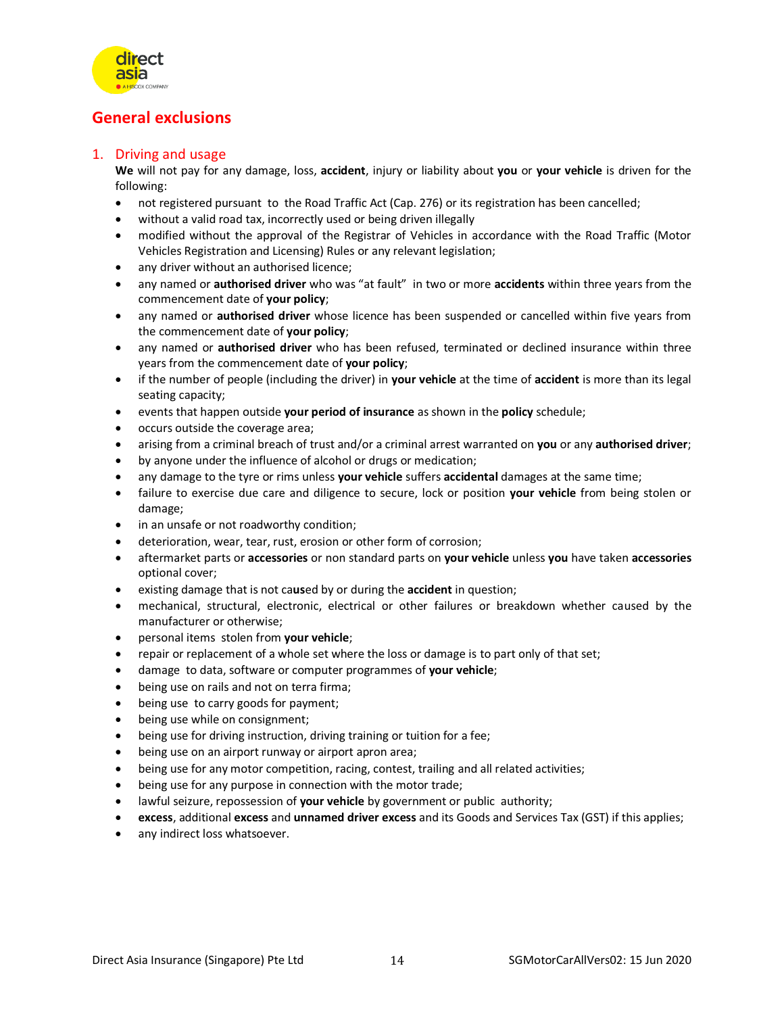

# **General exclusions**

# 1. Driving and usage

**We** will not pay for any damage, loss, **accident**, injury or liability about **you** or **your vehicle** is driven for the following:

- not registered pursuant to the Road Traffic Act (Cap. 276) or its registration has been cancelled;
- without a valid road tax, incorrectly used or being driven illegally
- modified without the approval of the Registrar of Vehicles in accordance with the Road Traffic (Motor Vehicles Registration and Licensing) Rules or any relevant legislation;
- any driver without an authorised licence;
- any named or **authorised driver** who was "at fault" in two or more **accidents** within three years from the commencement date of **your policy**;
- any named or **authorised driver** whose licence has been suspended or cancelled within five years from the commencement date of **your policy**;
- any named or **authorised driver** who has been refused, terminated or declined insurance within three years from the commencement date of **your policy**;
- if the number of people (including the driver) in **your vehicle** at the time of **accident** is more than its legal seating capacity;
- events that happen outside **your period of insurance** as shown in the **policy** schedule;
- occurs outside the coverage area;
- arising from a criminal breach of trust and/or a criminal arrest warranted on **you** or any **authorised driver**;
- by anyone under the influence of alcohol or drugs or medication;
- any damage to the tyre or rims unless **your vehicle** suffers **accidental** damages at the same time;
- failure to exercise due care and diligence to secure, lock or position **your vehicle** from being stolen or damage;
- in an unsafe or not roadworthy condition;
- deterioration, wear, tear, rust, erosion or other form of corrosion;
- aftermarket parts or **accessories** or non standard parts on **your vehicle** unless **you** have taken **accessories** optional cover;
- existing damage that is not ca**us**ed by or during the **accident** in question;
- mechanical, structural, electronic, electrical or other failures or breakdown whether caused by the manufacturer or otherwise;
- personal items stolen from **your vehicle**;
- repair or replacement of a whole set where the loss or damage is to part only of that set;
- damage to data, software or computer programmes of **your vehicle**;
- being use on rails and not on terra firma;
- being use to carry goods for payment;
- being use while on consignment;
- being use for driving instruction, driving training or tuition for a fee;
- being use on an airport runway or airport apron area;
- being use for any motor competition, racing, contest, trailing and all related activities;
- being use for any purpose in connection with the motor trade;
- lawful seizure, repossession of **your vehicle** by government or public authority;
- **excess**, additional **excess** and **unnamed driver excess** and its Goods and Services Tax (GST) if this applies;
- any indirect loss whatsoever.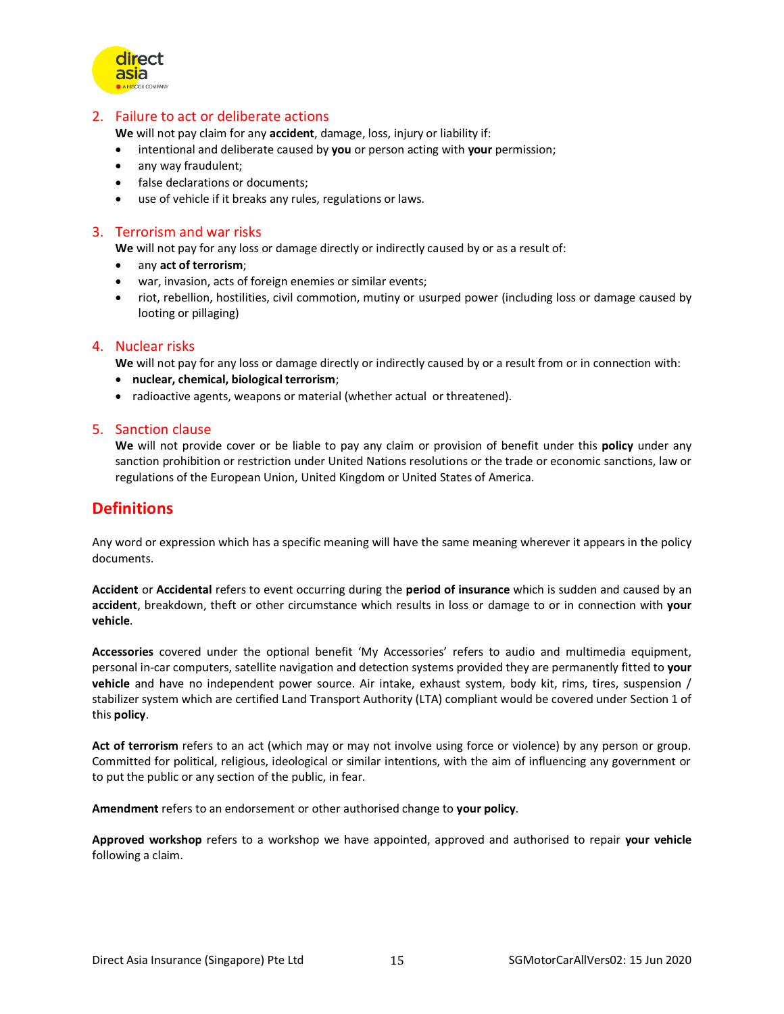

# 2. Failure to act or deliberate actions

**We** will not pay claim for any **accident**, damage, loss, injury or liability if:

- intentional and deliberate caused by **you** or person acting with **your** permission;
- any way fraudulent;
- false declarations or documents;
- use of vehicle if it breaks any rules, regulations or laws.

# 3. Terrorism and war risks

**We** will not pay for any loss or damage directly or indirectly caused by or as a result of:

- any **act of terrorism**;
- war, invasion, acts of foreign enemies or similar events;
- riot, rebellion, hostilities, civil commotion, mutiny or usurped power (including loss or damage caused by looting or pillaging)

# 4. Nuclear risks

**We** will not pay for any loss or damage directly or indirectly caused by or a result from or in connection with:

- **nuclear, chemical, biological terrorism**;
- radioactive agents, weapons or material (whether actual or threatened).

# 5. Sanction clause

**We** will not provide cover or be liable to pay any claim or provision of benefit under this **policy** under any sanction prohibition or restriction under United Nations resolutions or the trade or economic sanctions, law or regulations of the European Union, United Kingdom or United States of America.

# **Definitions**

Any word or expression which has a specific meaning will have the same meaning wherever it appears in the policy documents.

**Accident** or **Accidental** refers to event occurring during the **period of insurance** which is sudden and caused by an **accident**, breakdown, theft or other circumstance which results in loss or damage to or in connection with **your vehicle**.

**Accessories** covered under the optional benefit 'My Accessories' refers to audio and multimedia equipment, personal in-car computers, satellite navigation and detection systems provided they are permanently fitted to **your vehicle** and have no independent power source. Air intake, exhaust system, body kit, rims, tires, suspension / stabilizer system which are certified Land Transport Authority (LTA) compliant would be covered under Section 1 of this **policy**.

**Act of terrorism** refers to an act (which may or may not involve using force or violence) by any person or group. Committed for political, religious, ideological or similar intentions, with the aim of influencing any government or to put the public or any section of the public, in fear.

**Amendment** refers to an endorsement or other authorised change to **your policy**.

**Approved workshop** refers to a workshop we have appointed, approved and authorised to repair **your vehicle** following a claim.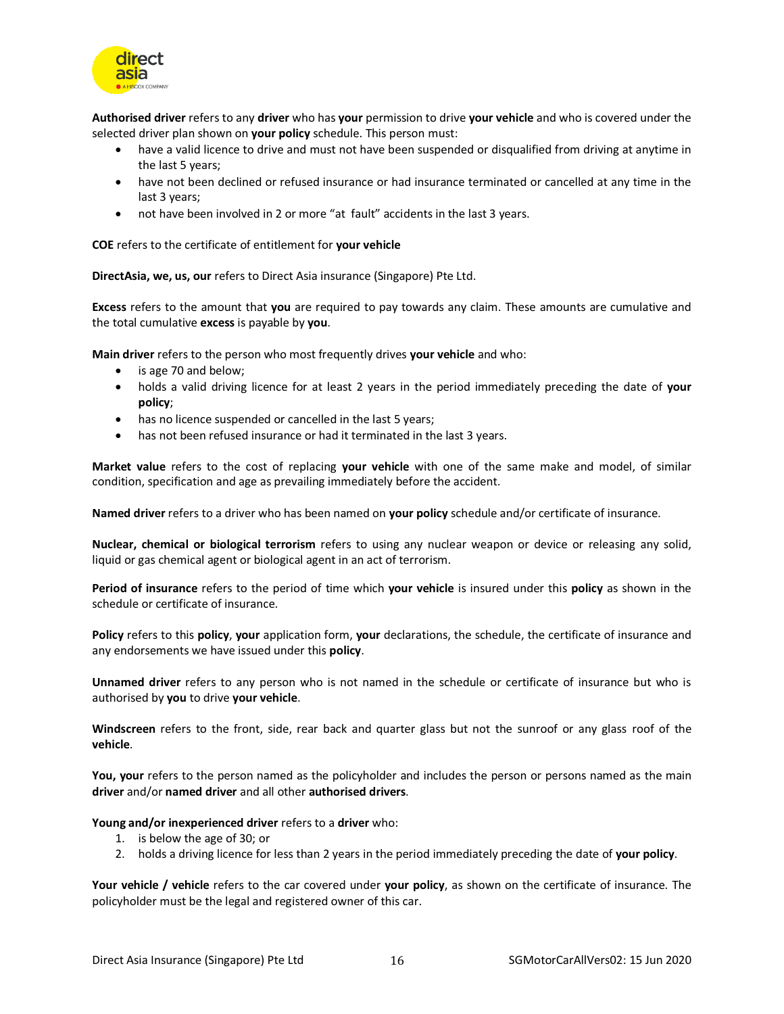

**Authorised driver** refers to any **driver** who has **your** permission to drive **your vehicle** and who is covered under the selected driver plan shown on **your policy** schedule. This person must:

- have a valid licence to drive and must not have been suspended or disqualified from driving at anytime in the last 5 years;
- have not been declined or refused insurance or had insurance terminated or cancelled at any time in the last 3 years;
- not have been involved in 2 or more "at fault" accidents in the last 3 years.

**COE** refers to the certificate of entitlement for **your vehicle**

**DirectAsia, we, us, our** refers to Direct Asia insurance (Singapore) Pte Ltd.

**Excess** refers to the amount that **you** are required to pay towards any claim. These amounts are cumulative and the total cumulative **excess** is payable by **you**.

**Main driver** refers to the person who most frequently drives **your vehicle** and who:

- is age 70 and below;
- holds a valid driving licence for at least 2 years in the period immediately preceding the date of **your policy**;
- has no licence suspended or cancelled in the last 5 years;
- has not been refused insurance or had it terminated in the last 3 years.

**Market value** refers to the cost of replacing **your vehicle** with one of the same make and model, of similar condition, specification and age as prevailing immediately before the accident.

**Named driver** refers to a driver who has been named on **your policy** schedule and/or certificate of insurance.

**Nuclear, chemical or biological terrorism** refers to using any nuclear weapon or device or releasing any solid, liquid or gas chemical agent or biological agent in an act of terrorism.

**Period of insurance** refers to the period of time which **your vehicle** is insured under this **policy** as shown in the schedule or certificate of insurance.

**Policy** refers to this **policy**, **your** application form, **your** declarations, the schedule, the certificate of insurance and any endorsements we have issued under this **policy**.

**Unnamed driver** refers to any person who is not named in the schedule or certificate of insurance but who is authorised by **you** to drive **your vehicle**.

**Windscreen** refers to the front, side, rear back and quarter glass but not the sunroof or any glass roof of the **vehicle**.

**You, your** refers to the person named as the policyholder and includes the person or persons named as the main **driver** and/or **named driver** and all other **authorised drivers**.

#### **Young and/or inexperienced driver** refers to a **driver** who:

- 1. is below the age of 30; or
- 2. holds a driving licence for less than 2 years in the period immediately preceding the date of **your policy**.

**Your vehicle / vehicle** refers to the car covered under **your policy**, as shown on the certificate of insurance. The policyholder must be the legal and registered owner of this car.